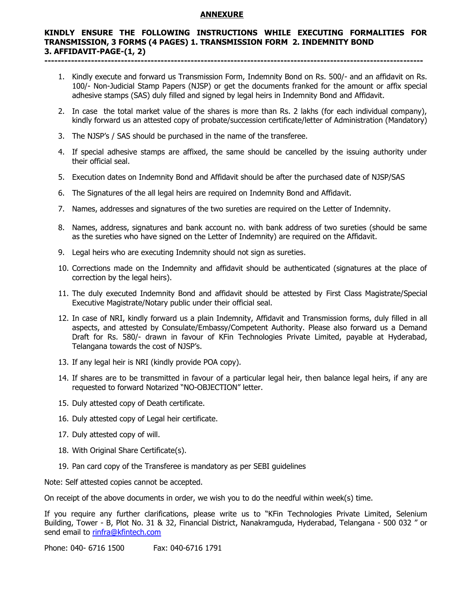### **ANNEXURE**

#### **KINDLY ENSURE THE FOLLOWING INSTRUCTIONS WHILE EXECUTING FORMALITIES FOR TRANSMISSION, 3 FORMS (4 PAGES) 1. TRANSMISSION FORM 2. INDEMNITY BOND 3. AFFIDAVIT-PAGE-(1, 2) ------------------------------------------------------------------------------------------------------------------**

- 1. Kindly execute and forward us Transmission Form, Indemnity Bond on Rs. 500/- and an affidavit on Rs. 100/- Non-Judicial Stamp Papers (NJSP) or get the documents franked for the amount or affix special adhesive stamps (SAS) duly filled and signed by legal heirs in Indemnity Bond and Affidavit.
- 2. In case the total market value of the shares is more than Rs. 2 lakhs (for each individual company), kindly forward us an attested copy of probate/succession certificate/letter of Administration (Mandatory)
- 3. The NJSP's / SAS should be purchased in the name of the transferee.
- 4. If special adhesive stamps are affixed, the same should be cancelled by the issuing authority under their official seal.
- 5. Execution dates on Indemnity Bond and Affidavit should be after the purchased date of NJSP/SAS
- 6. The Signatures of the all legal heirs are required on Indemnity Bond and Affidavit.
- 7. Names, addresses and signatures of the two sureties are required on the Letter of Indemnity.
- 8. Names, address, signatures and bank account no. with bank address of two sureties (should be same as the sureties who have signed on the Letter of Indemnity) are required on the Affidavit.
- 9. Legal heirs who are executing Indemnity should not sign as sureties.
- 10. Corrections made on the Indemnity and affidavit should be authenticated (signatures at the place of correction by the legal heirs).
- 11. The duly executed Indemnity Bond and affidavit should be attested by First Class Magistrate/Special Executive Magistrate/Notary public under their official seal.
- 12. In case of NRI, kindly forward us a plain Indemnity, Affidavit and Transmission forms, duly filled in all aspects, and attested by Consulate/Embassy/Competent Authority. Please also forward us a Demand Draft for Rs. 580/- drawn in favour of KFin Technologies Private Limited, payable at Hyderabad, Telangana towards the cost of NJSP's.
- 13. If any legal heir is NRI (kindly provide POA copy).
- 14. If shares are to be transmitted in favour of a particular legal heir, then balance legal heirs, if any are requested to forward Notarized "NO-OBJECTION" letter.
- 15. Duly attested copy of Death certificate.
- 16. Duly attested copy of Legal heir certificate.
- 17. Duly attested copy of will.
- 18. With Original Share Certificate(s).
- 19. Pan card copy of the Transferee is mandatory as per SEBI guidelines

Note: Self attested copies cannot be accepted.

On receipt of the above documents in order, we wish you to do the needful within week(s) time.

If you require any further clarifications, please write us to "KFin Technologies Private Limited, Selenium Building, Tower - B, Plot No. 31 & 32, Financial District, Nanakramguda, Hyderabad, Telangana - 500 032 " or send email to [rinfra@kfintech.com](mailto:rinfra@kfintech.com)

Phone: 040- 6716 1500 Fax: 040-6716 1791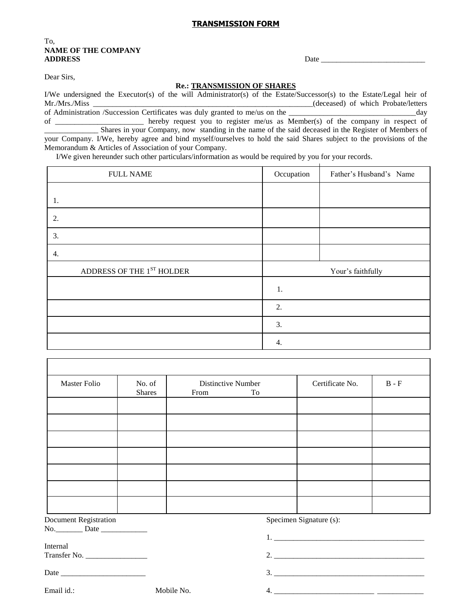## **TRANSMISSION FORM**

## To, **NAME OF THE COMPANY ADDRESS** Date \_\_\_\_\_\_\_\_\_\_\_\_\_\_\_\_\_\_\_\_\_\_\_\_\_\_\_

Dear Sirs,

#### **Re.: TRANSMISSION OF SHARES**

I/We undersigned the Executor(s) of the will Administrator(s) of the Estate/Successor(s) to the Estate/Legal heir of Mr./Mrs./Miss **and the control of the control of the control of the control of which Probate/letters** of Administration /Succession Certificates was duly granted to me/us on the \_\_\_\_\_\_\_\_\_\_\_\_\_\_\_\_\_\_\_\_\_\_\_\_\_\_\_\_\_\_\_\_\_day of \_\_\_\_\_\_\_\_\_\_\_\_\_\_\_\_\_\_\_\_\_\_\_ hereby request you to register me/us as Member(s) of the company in respect of \_\_\_\_\_\_\_\_\_\_\_\_\_\_ Shares in your Company, now standing in the name of the said deceased in the Register of Members of your Company. I/We, hereby agree and bind myself/ourselves to hold the said Shares subject to the provisions of the Memorandum & Articles of Association of your Company.

I/We given hereunder such other particulars/information as would be required by you for your records.

| <b>FULL NAME</b>                   | Occupation | Father's Husband's Name |
|------------------------------------|------------|-------------------------|
|                                    |            |                         |
| 1.                                 |            |                         |
| 2.                                 |            |                         |
| 3.                                 |            |                         |
| 4.                                 |            |                         |
| ADDRESS OF THE $1^{\rm ST}$ HOLDER |            | Your's faithfully       |
|                                    | 1.         |                         |
|                                    | 2.         |                         |
|                                    | 3.         |                         |
|                                    | 4.         |                         |

| <b>Master Folio</b>          | No. of<br><b>Shares</b> | From | <b>Distinctive Number</b><br>To | Certificate No.         | $B - F$ |
|------------------------------|-------------------------|------|---------------------------------|-------------------------|---------|
|                              |                         |      |                                 |                         |         |
|                              |                         |      |                                 |                         |         |
|                              |                         |      |                                 |                         |         |
|                              |                         |      |                                 |                         |         |
|                              |                         |      |                                 |                         |         |
|                              |                         |      |                                 |                         |         |
|                              |                         |      |                                 |                         |         |
| <b>Document Registration</b> |                         |      |                                 | Specimen Signature (s): |         |
|                              |                         |      |                                 |                         |         |
| Internal                     |                         |      |                                 |                         |         |
|                              |                         |      |                                 |                         |         |
|                              |                         |      |                                 |                         |         |
| Email id.:                   | Mobile No.              |      |                                 |                         |         |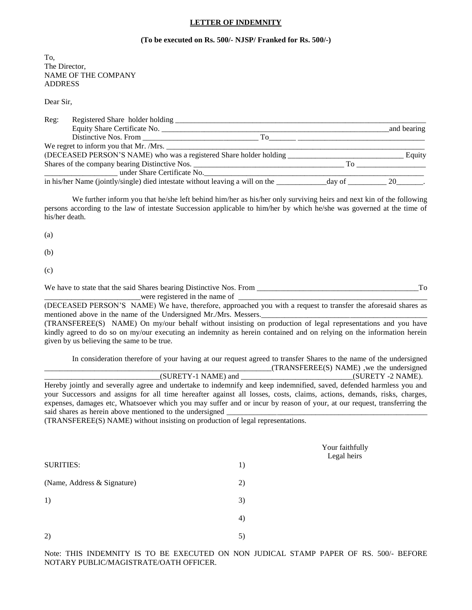#### **LETTER OF INDEMNITY**

#### **(To be executed on Rs. 500/- NJSP/ Franked for Rs. 500/-)**

To, The Director, NAME OF THE COMPANY ADDRESS

Dear Sir,

| Reg: | Registered Share holder holding                                                         |    |                                   |             |
|------|-----------------------------------------------------------------------------------------|----|-----------------------------------|-------------|
|      | Equity Share Certificate No.                                                            |    |                                   | and bearing |
|      |                                                                                         | To |                                   |             |
|      |                                                                                         |    |                                   |             |
|      | (DECEASED PERSON'S NAME) who was a registered Share holder holding                      |    |                                   | Equity      |
|      |                                                                                         |    | To                                |             |
|      | under Share Certificate No.                                                             |    |                                   |             |
|      | in his/her Name (jointly/single) died intestate without leaving a will on the _________ |    | $\_\$ {day \ of $\_\_\_\_\_\_$ 20 |             |

We further inform you that he/she left behind him/her as his/her only surviving heirs and next kin of the following persons according to the law of intestate Succession applicable to him/her by which he/she was governed at the time of his/her death.

(a)

(b)

(c)

We have to state that the said Shares bearing Distinctive Nos. From \_\_\_\_\_\_\_\_\_\_\_\_\_\_\_\_\_\_\_\_\_\_\_\_\_\_\_\_\_\_\_\_\_\_\_\_\_\_\_\_\_\_To were registered in the name of

(DECEASED PERSON'S NAME) We have, therefore, approached you with a request to transfer the aforesaid shares as mentioned above in the name of the Undersigned Mr./Mrs. Messers. (TRANSFEREE(S) NAME) On my/our behalf without insisting on production of legal representations and you have kindly agreed to do so on my/our executing an indemnity as herein contained and on relying on the information herein

given by us believing the same to be true.

In consideration therefore of your having at our request agreed to transfer Shares to the name of the undersigned  $_T$ (TRANSFEREE(S) NAME), we the undersigned

\_\_\_\_\_\_\_\_\_\_\_\_\_\_\_\_\_\_\_\_\_\_\_\_\_\_\_\_\_\_(SURETY-1 NAME) and \_\_\_\_\_\_\_\_\_\_\_\_\_\_\_\_\_\_\_\_\_\_\_\_\_\_\_\_\_(SURETY -2 NAME). Hereby jointly and severally agree and undertake to indemnify and keep indemnified, saved, defended harmless you and your Successors and assigns for all time hereafter against all losses, costs, claims, actions, demands, risks, charges, expenses, damages etc, Whatsoever which you may suffer and or incur by reason of your, at our request, transferring the said shares as herein above mentioned to the undersigned

(TRANSFEREE(S) NAME) without insisting on production of legal representations.

|                             |    | Your faithfully<br>Legal heirs |
|-----------------------------|----|--------------------------------|
| <b>SURITIES:</b>            | 1) |                                |
| (Name, Address & Signature) | 2) |                                |
| 1)                          | 3) |                                |
|                             | 4) |                                |
| 2)                          | 5) |                                |

Note: THIS INDEMNITY IS TO BE EXECUTED ON NON JUDICAL STAMP PAPER OF RS. 500/- BEFORE NOTARY PUBLIC/MAGISTRATE/OATH OFFICER.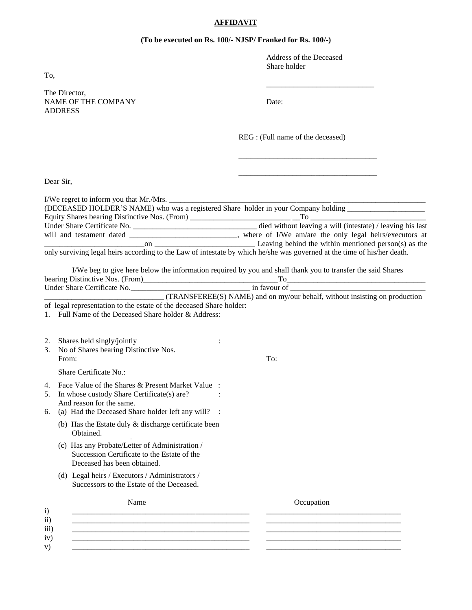# **AFFIDAVIT**

## **(To be executed on Rs. 100/- NJSP/ Franked for Rs. 100/-)**

| To,                      |                                                                                                                                                                                      | Address of the Deceased<br>Share holder                                                                         |
|--------------------------|--------------------------------------------------------------------------------------------------------------------------------------------------------------------------------------|-----------------------------------------------------------------------------------------------------------------|
|                          |                                                                                                                                                                                      |                                                                                                                 |
|                          | The Director,<br><b>NAME OF THE COMPANY</b><br><b>ADDRESS</b>                                                                                                                        | Date:                                                                                                           |
|                          |                                                                                                                                                                                      | REG : (Full name of the deceased)                                                                               |
|                          | Dear Sir,                                                                                                                                                                            |                                                                                                                 |
|                          |                                                                                                                                                                                      |                                                                                                                 |
|                          |                                                                                                                                                                                      | will and testament dated ______________________________, where of I/We am/are the only legal heirs/executors at |
|                          | only surviving legal heirs according to the Law of intestate by which he/she was governed at the time of his/her death.                                                              |                                                                                                                 |
|                          |                                                                                                                                                                                      | I/We beg to give here below the information required by you and shall thank you to transfer the said Shares     |
|                          | of legal representation to the estate of the deceased Share holder:<br>1. Full Name of the Deceased Share holder & Address:                                                          |                                                                                                                 |
|                          | 2. Shares held singly/jointly<br>3. No of Shares bearing Distinctive Nos.<br>From:                                                                                                   | To:                                                                                                             |
|                          | Share Certificate No.:                                                                                                                                                               |                                                                                                                 |
| 5.<br>6.                 | 4. Face Value of the Shares & Present Market Value :<br>In whose custody Share Certificate(s) are?<br>And reason for the same.<br>(a) Had the Deceased Share holder left any will? : |                                                                                                                 |
|                          | (b) Has the Estate duly $&$ discharge certificate been<br>Obtained.                                                                                                                  |                                                                                                                 |
|                          | (c) Has any Probate/Letter of Administration /<br>Succession Certificate to the Estate of the<br>Deceased has been obtained.                                                         |                                                                                                                 |
|                          | (d) Legal heirs / Executors / Administrators /<br>Successors to the Estate of the Deceased.                                                                                          |                                                                                                                 |
| $\mathbf{i}$             | Name                                                                                                                                                                                 | Occupation                                                                                                      |
| ii)<br>iii)<br>iv)<br>v) |                                                                                                                                                                                      |                                                                                                                 |